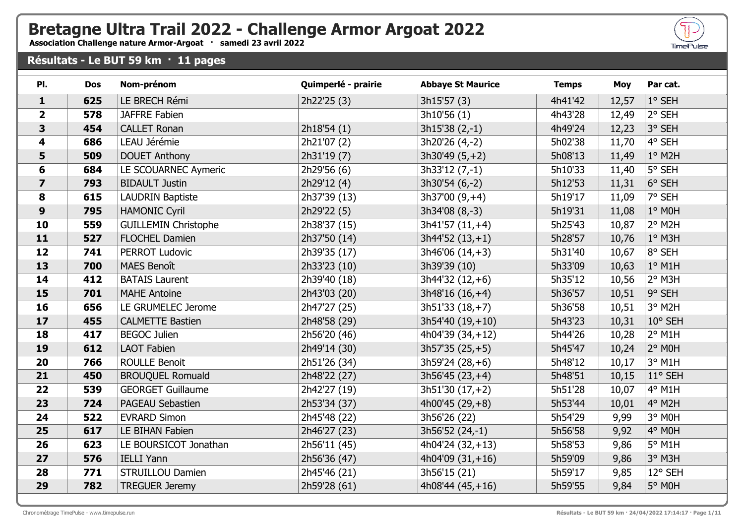## **Bretagne Ultra Trail 2022 - Challenge Armor Argoat 2022**

**Association Challenge nature Armor-Argoat · samedi 23 avril 2022**

## **Résultats - Le BUT 59 km · 11 pages**

| PI.                     | <b>Dos</b> | Nom-prénom                  | Quimperlé - prairie | <b>Abbaye St Maurice</b> | <b>Temps</b> | <b>Moy</b> | Par cat.      |
|-------------------------|------------|-----------------------------|---------------------|--------------------------|--------------|------------|---------------|
| $\mathbf{1}$            | 625        | LE BRECH Rémi               | 2h22'25 (3)         | 3h15'57(3)               | 4h41'42      | 12,57      | 1° SEH        |
| $\overline{2}$          | 578        | <b>JAFFRE Fabien</b>        |                     | 3h10'56 (1)              | 4h43'28      | 12,49      | 2° SEH        |
| 3                       | 454        | <b>CALLET Ronan</b>         | 2h18'54 (1)         | $3h15'38(2,-1)$          | 4h49'24      | 12,23      | 3° SEH        |
| 4                       | 686        | LEAU Jérémie                | 2h21'07 (2)         | 3h20'26 (4,-2)           | 5h02'38      | 11,70      | 4° SEH        |
| 5                       | 509        | <b>DOUET Anthony</b>        | 2h31'19 (7)         | $3h30'49(5,+2)$          | 5h08'13      | 11,49      | $1°$ M2H      |
| 6                       | 684        | LE SCOUARNEC Aymeric        | 2h29'56 (6)         | $3h33'12(7,-1)$          | 5h10'33      | 11,40      | 5° SEH        |
| $\overline{\mathbf{z}}$ | 793        | <b>BIDAULT Justin</b>       | 2h29'12 (4)         | 3h30'54 (6,-2)           | 5h12'53      | 11,31      | 6° SEH        |
| 8                       | 615        | <b>LAUDRIN Baptiste</b>     | 2h37'39 (13)        | $3h37'00(9,+4)$          | 5h19'17      | 11,09      | 7° SEH        |
| 9                       | 795        | <b>HAMONIC Cyril</b>        | 2h29'22 (5)         | 3h34'08 (8,-3)           | 5h19'31      | 11,08      | $1°$ MOH      |
| 10                      | 559        | <b>GUILLEMIN Christophe</b> | 2h38'37 (15)        | $3h41'57(11,+4)$         | 5h25'43      | 10,87      | 2° M2H        |
| 11                      | 527        | <b>FLOCHEL Damien</b>       | 2h37'50 (14)        | $3h44'52(13,+1)$         | 5h28'57      | 10,76      | $1°$ M3H      |
| 12                      | 741        | <b>PERROT Ludovic</b>       | 2h39'35 (17)        | $3h46'06(14,+3)$         | 5h31'40      | 10,67      | 8° SEH        |
| 13                      | 700        | <b>MAES Benoît</b>          | 2h33'23 (10)        | 3h39'39 (10)             | 5h33'09      | 10,63      | $1°$ M1H      |
| 14                      | 412        | <b>BATAIS Laurent</b>       | 2h39'40 (18)        | $3h44'32(12,+6)$         | 5h35'12      | 10,56      | 2° M3H        |
| 15                      | 701        | <b>MAHE Antoine</b>         | 2h43'03 (20)        | $3h48'16(16,+4)$         | 5h36'57      | 10,51      | 9° SEH        |
| 16                      | 656        | LE GRUMELEC Jerome          | 2h47'27 (25)        | $3h51'33(18,+7)$         | 5h36'58      | 10,51      | 3° M2H        |
| 17                      | 455        | <b>CALMETTE Bastien</b>     | 2h48'58 (29)        | $3h54'40(19,+10)$        | 5h43'23      | 10,31      | 10° SEH       |
| 18                      | 417        | <b>BEGOC Julien</b>         | 2h56'20 (46)        | 4h04'39 (34,+12)         | 5h44'26      | 10,28      | $2°$ M1H      |
| 19                      | 612        | <b>LAOT Fabien</b>          | 2h49'14 (30)        | $3h57'35(25,+5)$         | 5h45'47      | 10,24      | 2° M0H        |
| 20                      | 766        | <b>ROULLE Benoit</b>        | 2h51'26 (34)        | $3h59'24(28, +6)$        | 5h48'12      | 10,17      | $3°$ M1H      |
| 21                      | 450        | <b>BROUQUEL Romuald</b>     | 2h48'22 (27)        | $3h56'45(23,+4)$         | 5h48'51      | 10,15      | 11° SEH       |
| 22                      | 539        | <b>GEORGET Guillaume</b>    | 2h42'27 (19)        | $3h51'30(17,+2)$         | 5h51'28      | 10,07      | 4° M1H        |
| 23                      | 724        | <b>PAGEAU Sebastien</b>     | 2h53'34 (37)        | 4h00'45 $(29, +8)$       | 5h53'44      | 10,01      | 4° M2H        |
| 24                      | 522        | <b>EVRARD Simon</b>         | 2h45'48 (22)        | 3h56'26 (22)             | 5h54'29      | 9,99       | 3° MOH        |
| 25                      | 617        | LE BIHAN Fabien             | 2h46'27 (23)        | 3h56'52 (24,-1)          | 5h56'58      | 9,92       | 4° M0H        |
| 26                      | 623        | LE BOURSICOT Jonathan       | 2h56'11 (45)        | $4h04'24(32,+13)$        | 5h58'53      | 9,86       | $5^\circ$ M1H |
| 27                      | 576        | <b>IELLI Yann</b>           | 2h56'36 (47)        | 4h04'09 $(31,+16)$       | 5h59'09      | 9,86       | 3° M3H        |
| 28                      | 771        | <b>STRUILLOU Damien</b>     | 2h45'46 (21)        | 3h56'15 (21)             | 5h59'17      | 9,85       | 12° SEH       |
| 29                      | 782        | <b>TREGUER Jeremy</b>       | 2h59'28 (61)        | 4h08'44 $(45, +16)$      | 5h59'55      | 9,84       | 5° MOH        |

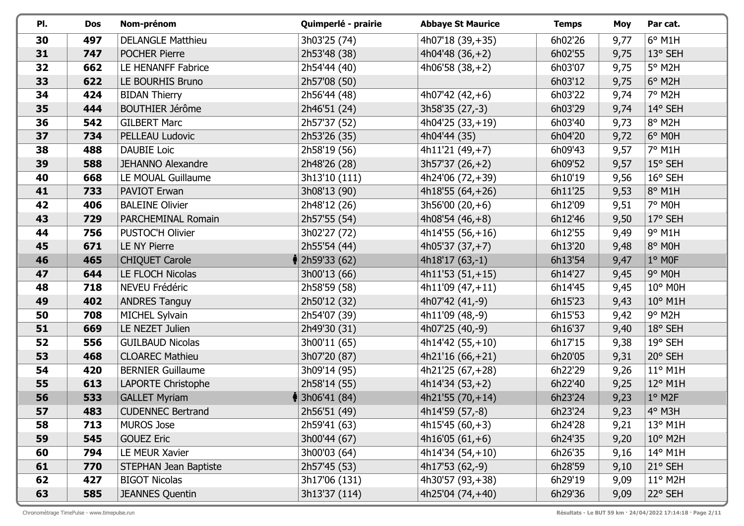| PI. | <b>Dos</b> | Nom-prénom               | Quimperlé - prairie        | <b>Abbaye St Maurice</b> | <b>Temps</b> | Moy  | Par cat.             |
|-----|------------|--------------------------|----------------------------|--------------------------|--------------|------|----------------------|
| 30  | 497        | <b>DELANGLE Matthieu</b> | 3h03'25 (74)               | 4h07'18 (39,+35)         | 6h02'26      | 9,77 | $6^{\circ}$ M1H      |
| 31  | 747        | <b>POCHER Pierre</b>     | 2h53'48 (38)               | $4h04'48(36,+2)$         | 6h02'55      | 9,75 | 13° SEH              |
| 32  | 662        | LE HENANFF Fabrice       | 2h54'44 (40)               | $4h06'58(38,+2)$         | 6h03'07      | 9,75 | $5^\circ$ M2H        |
| 33  | 622        | LE BOURHIS Bruno         | 2h57'08 (50)               |                          | 6h03'12      | 9,75 | $6^\circ$ M2H        |
| 34  | 424        | <b>BIDAN Thierry</b>     | 2h56'44 (48)               | 4h07'42 $(42, +6)$       | 6h03'22      | 9,74 | 7° M2H               |
| 35  | 444        | <b>BOUTHIER Jérôme</b>   | 2h46'51 (24)               | 3h58'35 (27,-3)          | 6h03'29      | 9,74 | 14° SEH              |
| 36  | 542        | <b>GILBERT Marc</b>      | 2h57'37 (52)               | $4h04'25(33,+19)$        | 6h03'40      | 9,73 | 8° M2H               |
| 37  | 734        | PELLEAU Ludovic          | 2h53'26 (35)               | 4h04'44 (35)             | 6h04'20      | 9,72 | 6° M0H               |
| 38  | 488        | <b>DAUBIE Loic</b>       | 2h58'19 (56)               | $4h11'21(49,+7)$         | 6h09'43      | 9,57 | 7° M1H               |
| 39  | 588        | <b>JEHANNO Alexandre</b> | 2h48'26 (28)               | $3h57'37(26,+2)$         | 6h09'52      | 9,57 | 15° SEH              |
| 40  | 668        | LE MOUAL Guillaume       | 3h13'10 (111)              | 4h24'06 (72,+39)         | 6h10'19      | 9,56 | 16° SEH              |
| 41  | 733        | PAVIOT Erwan             | 3h08'13 (90)               | $4h18'55(64,+26)$        | 6h11'25      | 9,53 | 8° M1H               |
| 42  | 406        | <b>BALEINE Olivier</b>   | 2h48'12 (26)               | $3h56'00(20,+6)$         | 6h12'09      | 9,51 | 7° M0H               |
| 43  | 729        | PARCHEMINAL Romain       | 2h57'55 (54)               | $4h08'54(46,+8)$         | 6h12'46      | 9,50 | 17° SEH              |
| 44  | 756        | <b>PUSTOC'H Olivier</b>  | 3h02'27 (72)               | $4h14'55(56,+16)$        | 6h12'55      | 9,49 | $9°$ M1H             |
| 45  | 671        | <b>LE NY Pierre</b>      | 2h55'54 (44)               | 4h05'37 $(37, +7)$       | 6h13'20      | 9,48 | 8° M0H               |
| 46  | 465        | <b>CHIQUET Carole</b>    | $\parallel$ 2h59'33 (62)   | $4h18'17(63,-1)$         | 6h13'54      | 9,47 | $1^\circ$ MOF        |
| 47  | 644        | LE FLOCH Nicolas         | 3h00'13 (66)               | $4h11'53(51,+15)$        | 6h14'27      | 9,45 | $9°$ M0H             |
| 48  | 718        | NEVEU Frédéric           | 2h58'59 (58)               | $4h11'09(47,+11)$        | 6h14'45      | 9,45 | 10° M0H              |
| 49  | 402        | <b>ANDRES Tanguy</b>     | 2h50'12 (32)               | 4h07'42 (41,-9)          | 6h15'23      | 9,43 | $10^{\circ}$ M1H     |
| 50  | 708        | MICHEL Sylvain           | 2h54'07 (39)               | 4h11'09 (48,-9)          | 6h15'53      | 9,42 | $9°$ M2H             |
| 51  | 669        | LE NEZET Julien          | 2h49'30 (31)               | 4h07'25 (40,-9)          | 6h16'37      | 9,40 | $18°$ SEH            |
| 52  | 556        | <b>GUILBAUD Nicolas</b>  | 3h00'11 (65)               | 4h14'42 (55, +10)        | 6h17'15      | 9,38 | 19° SEH              |
| 53  | 468        | <b>CLOAREC Mathieu</b>   | 3h07'20 (87)               | $4h21'16(66,+21)$        | 6h20'05      | 9,31 | 20° SEH              |
| 54  | 420        | <b>BERNIER Guillaume</b> | 3h09'14 (95)               | $4h21'25(67,+28)$        | 6h22'29      | 9,26 | $11^{\circ}$ M1H     |
| 55  | 613        | LAPORTE Christophe       | 2h58'14 (55)               | $4h14'34(53,+2)$         | 6h22'40      | 9,25 | $ 12^{\circ}$ M1H    |
| 56  | 533        | <b>GALLET Myriam</b>     | $\frac{1}{3}$ 3h06'41 (84) | $4h21'55(70,+14)$        | 6h23'24      | 9,23 | $1°$ M <sub>2F</sub> |
| 57  | 483        | <b>CUDENNEC Bertrand</b> | 2h56'51 (49)               | 4h14'59 (57,-8)          | 6h23'24      | 9,23 | 4° M3H               |
| 58  | 713        | <b>MUROS Jose</b>        | 2h59'41 (63)               | $4h15'45(60,+3)$         | 6h24'28      | 9,21 | 13° M1H              |
| 59  | 545        | <b>GOUEZ Eric</b>        | 3h00'44 (67)               | $4h16'05(61,+6)$         | 6h24'35      | 9,20 | $10^{\circ}$ M2H     |
| 60  | 794        | LE MEUR Xavier           | 3h00'03 (64)               | $4h14'34(54,+10)$        | 6h26'35      | 9,16 | $14^{\circ}$ M1H     |
| 61  | 770        | STEPHAN Jean Baptiste    | 2h57'45 (53)               | 4h17'53 (62,-9)          | 6h28'59      | 9,10 | 21° SEH              |
| 62  | 427        | <b>BIGOT Nicolas</b>     | 3h17'06 (131)              | 4h30'57 (93,+38)         | 6h29'19      | 9,09 | 11° M2H              |
| 63  | 585        | <b>JEANNES Quentin</b>   | 3h13'37 (114)              | 4h25'04 (74,+40)         | 6h29'36      | 9,09 | 22° SEH              |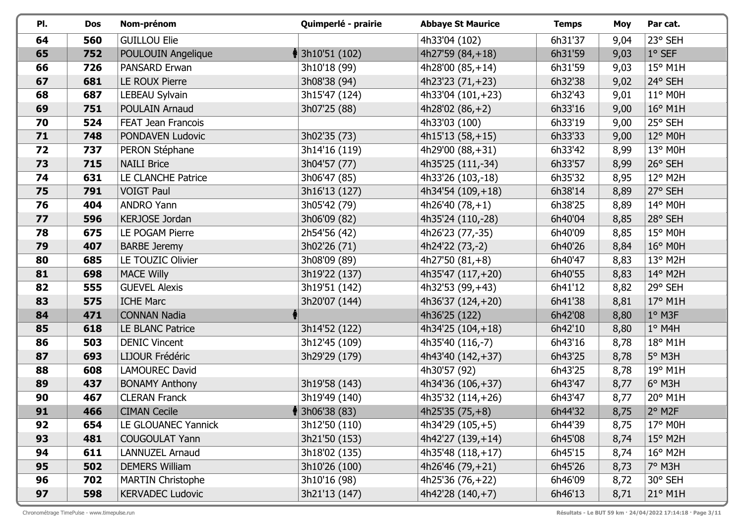| PI. | <b>Dos</b> | Nom-prénom                | Quimperlé - prairie         | <b>Abbaye St Maurice</b> | <b>Temps</b> | Moy  | Par cat.         |
|-----|------------|---------------------------|-----------------------------|--------------------------|--------------|------|------------------|
| 64  | 560        | <b>GUILLOU Elie</b>       |                             | 4h33'04 (102)            | 6h31'37      | 9,04 | 23° SEH          |
| 65  | 752        | POULOUIN Angelique        | $\frac{1}{3}$ 3h10'51 (102) | 4h27'59 $(84, +18)$      | 6h31'59      | 9,03 | $1^\circ$ SEF    |
| 66  | 726        | PANSARD Erwan             | 3h10'18 (99)                | 4h28'00 $(85, +14)$      | 6h31'59      | 9,03 | 15° M1H          |
| 67  | 681        | <b>LE ROUX Pierre</b>     | 3h08'38 (94)                | 4h23'23 $(71,+23)$       | 6h32'38      | 9,02 | 24° SEH          |
| 68  | 687        | LEBEAU Sylvain            | 3h15'47 (124)               | 4h33'04 (101,+23)        | 6h32'43      | 9,01 | 11° M0H          |
| 69  | 751        | POULAIN Arnaud            | 3h07'25 (88)                | 4h28'02 $(86, +2)$       | 6h33'16      | 9,00 | $16^{\circ}$ M1H |
| 70  | 524        | <b>FEAT Jean Francois</b> |                             | 4h33'03 (100)            | 6h33'19      | 9,00 | 25° SEH          |
| 71  | 748        | PONDAVEN Ludovic          | 3h02'35 (73)                | $4h15'13(58,+15)$        | 6h33'33      | 9,00 | 12° M0H          |
| 72  | 737        | PERON Stéphane            | 3h14'16 (119)               | 4h29'00 (88,+31)         | 6h33'42      | 8,99 | 13° M0H          |
| 73  | 715        | <b>NAILI Brice</b>        | 3h04'57 (77)                | 4h35'25 (111,-34)        | 6h33'57      | 8,99 | 26° SEH          |
| 74  | 631        | LE CLANCHE Patrice        | 3h06'47 (85)                | 4h33'26 (103,-18)        | 6h35'32      | 8,95 | 12° M2H          |
| 75  | 791        | <b>VOIGT Paul</b>         | 3h16'13 (127)               | 4h34'54 (109, +18)       | 6h38'14      | 8,89 | 27° SEH          |
| 76  | 404        | <b>ANDRO Yann</b>         | 3h05'42 (79)                | 4h26'40 $(78, +1)$       | 6h38'25      | 8,89 | 14° M0H          |
| 77  | 596        | <b>KERJOSE Jordan</b>     | 3h06'09 (82)                | 4h35'24 (110,-28)        | 6h40'04      | 8,85 | 28° SEH          |
| 78  | 675        | LE POGAM Pierre           | 2h54'56 (42)                | 4h26'23 (77,-35)         | 6h40'09      | 8,85 | 15° M0H          |
| 79  | 407        | <b>BARBE Jeremy</b>       | 3h02'26 (71)                | 4h24'22 (73,-2)          | 6h40'26      | 8,84 | $16^{\circ}$ M0H |
| 80  | 685        | LE TOUZIC Olivier         | 3h08'09 (89)                | 4h27'50 $(81, +8)$       | 6h40'47      | 8,83 | 13° M2H          |
| 81  | 698        | <b>MACE Willy</b>         | 3h19'22 (137)               | 4h35'47 (117, +20)       | 6h40'55      | 8,83 | 14° M2H          |
| 82  | 555        | <b>GUEVEL Alexis</b>      | 3h19'51 (142)               | 4h32'53 (99, +43)        | 6h41'12      | 8,82 | 29° SEH          |
| 83  | 575        | <b>ICHE Marc</b>          | 3h20'07 (144)               | 4h36'37 (124, +20)       | 6h41'38      | 8,81 | $17^{\circ}$ M1H |
| 84  | 471        | <b>CONNAN Nadia</b>       |                             | 4h36'25 (122)            | 6h42'08      | 8,80 | $1°$ M3F         |
| 85  | 618        | LE BLANC Patrice          | 3h14'52 (122)               | $4h34'25(104,+18)$       | 6h42'10      | 8,80 | $1°$ M4H         |
| 86  | 503        | <b>DENIC Vincent</b>      | 3h12'45 (109)               | 4h35'40 (116,-7)         | 6h43'16      | 8,78 | 18° M1H          |
| 87  | 693        | LIJOUR Frédéric           | 3h29'29 (179)               | 4h43'40 (142, +37)       | 6h43'25      | 8,78 | $5^\circ$ M3H    |
| 88  | 608        | <b>LAMOUREC David</b>     |                             | 4h30'57 (92)             | 6h43'25      | 8,78 | 19° M1H          |
| 89  | 437        | <b>BONAMY Anthony</b>     | 3h19'58 (143)               | 4h34'36 (106, +37)       | 6h43'47      | 8,77 | $6^\circ$ M3H    |
| 90  | 467        | <b>CLERAN Franck</b>      | 3h19'49 (140)               | 4h35'32 (114,+26)        | 6h43'47      | 8,77 | 20° M1H          |
| 91  | 466        | <b>CIMAN Cecile</b>       | $\frac{1}{3}$ 3h06'38 (83)  | $4h25'35(75,+8)$         | 6h44'32      | 8,75 | $2°$ M2F         |
| 92  | 654        | LE GLOUANEC Yannick       | 3h12'50 (110)               | $4h34'29(105,+5)$        | 6h44'39      | 8,75 | $17^\circ$ MOH   |
| 93  | 481        | <b>COUGOULAT Yann</b>     | 3h21'50 (153)               | $4h42'27(139,+14)$       | 6h45'08      | 8,74 | $15^{\circ}$ M2H |
| 94  | 611        | <b>LANNUZEL Arnaud</b>    | 3h18'02 (135)               | 4h35'48 (118, +17)       | 6h45'15      | 8,74 | $16^{\circ}$ M2H |
| 95  | 502        | <b>DEMERS William</b>     | 3h10'26 (100)               | 4h26'46 $(79, +21)$      | 6h45'26      | 8,73 | 7° M3H           |
| 96  | 702        | <b>MARTIN Christophe</b>  | 3h10'16 (98)                | 4h25'36 (76, +22)        | 6h46'09      | 8,72 | 30° SEH          |
| 97  | 598        | <b>KERVADEC Ludovic</b>   | 3h21'13 (147)               | $4h42'28(140,+7)$        | 6h46'13      | 8,71 | $21^{\circ}$ M1H |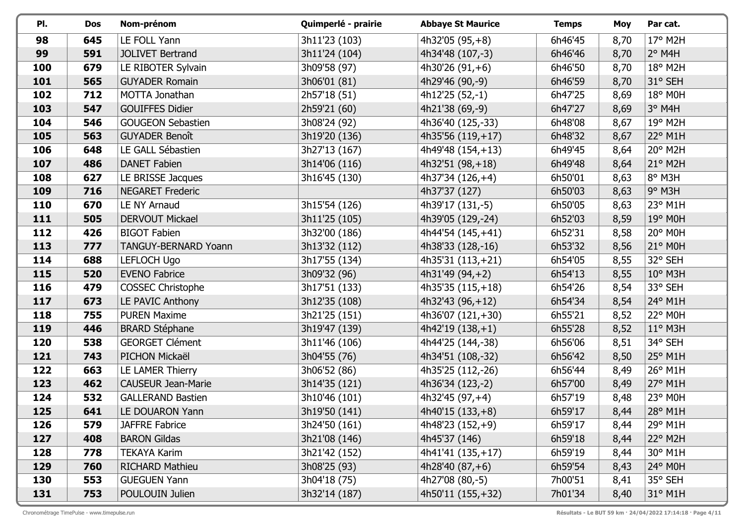| PI. | <b>Dos</b> | Nom-prénom                | Quimperlé - prairie | <b>Abbaye St Maurice</b> | <b>Temps</b> | Moy  | Par cat.          |
|-----|------------|---------------------------|---------------------|--------------------------|--------------|------|-------------------|
| 98  | 645        | LE FOLL Yann              | 3h11'23 (103)       | $4h32'05(95,+8)$         | 6h46'45      | 8,70 | 17° M2H           |
| 99  | 591        | <b>JOLIVET Bertrand</b>   | 3h11'24 (104)       | 4h34'48 (107,-3)         | 6h46'46      | 8,70 | $2^{\circ}$ M4H   |
| 100 | 679        | LE RIBOTER Sylvain        | 3h09'58 (97)        | 4h30'26 $(91, +6)$       | 6h46'50      | 8,70 | 18° M2H           |
| 101 | 565        | <b>GUYADER Romain</b>     | 3h06'01 (81)        | 4h29'46 (90,-9)          | 6h46'59      | 8,70 | 31° SEH           |
| 102 | 712        | MOTTA Jonathan            | 2h57'18 (51)        | 4h12'25 (52,-1)          | 6h47'25      | 8,69 | 18° M0H           |
| 103 | 547        | <b>GOUIFFES Didier</b>    | 2h59'21 (60)        | 4h21'38 (69,-9)          | 6h47'27      | 8,69 | $3^\circ$ M4H     |
| 104 | 546        | <b>GOUGEON Sebastien</b>  | 3h08'24 (92)        | 4h36'40 (125,-33)        | 6h48'08      | 8,67 | 19° M2H           |
| 105 | 563        | <b>GUYADER Benoît</b>     | 3h19'20 (136)       | 4h35'56 $(119, +17)$     | 6h48'32      | 8,67 | 22° M1H           |
| 106 | 648        | LE GALL Sébastien         | 3h27'13 (167)       | 4h49'48 (154,+13)        | 6h49'45      | 8,64 | 20° M2H           |
| 107 | 486        | <b>DANET Fabien</b>       | 3h14'06 (116)       | $4h32'51(98,+18)$        | 6h49'48      | 8,64 | 21° M2H           |
| 108 | 627        | LE BRISSE Jacques         | 3h16'45 (130)       | $4h37'34(126,+4)$        | 6h50'01      | 8,63 | 8° M3H            |
| 109 | 716        | <b>NEGARET Frederic</b>   |                     | 4h37'37 (127)            | 6h50'03      | 8,63 | $9°$ M3H          |
| 110 | 670        | LE NY Arnaud              | 3h15'54 (126)       | 4h39'17 (131,-5)         | 6h50'05      | 8,63 | 23° M1H           |
| 111 | 505        | <b>DERVOUT Mickael</b>    | 3h11'25 (105)       | 4h39'05 (129,-24)        | 6h52'03      | 8,59 | 19° M0H           |
| 112 | 426        | <b>BIGOT Fabien</b>       | 3h32'00 (186)       | 4h44'54 (145, +41)       | 6h52'31      | 8,58 | 20° M0H           |
| 113 | 777        | TANGUY-BERNARD Yoann      | 3h13'32 (112)       | 4h38'33 (128,-16)        | 6h53'32      | 8,56 | $21^{\circ}$ M0H  |
| 114 | 688        | <b>LEFLOCH Ugo</b>        | 3h17'55 (134)       | 4h35'31 (113, +21)       | 6h54'05      | 8,55 | 32° SEH           |
| 115 | 520        | <b>EVENO Fabrice</b>      | 3h09'32 (96)        | 4h31'49 (94, +2)         | 6h54'13      | 8,55 | 10° M3H           |
| 116 | 479        | <b>COSSEC Christophe</b>  | 3h17'51 (133)       | $4h35'35(115,+18)$       | 6h54'26      | 8,54 | 33° SEH           |
| 117 | 673        | LE PAVIC Anthony          | 3h12'35 (108)       | $4h32'43(96,+12)$        | 6h54'34      | 8,54 | 24° M1H           |
| 118 | 755        | <b>PUREN Maxime</b>       | 3h21'25 (151)       | 4h36'07 (121,+30)        | 6h55'21      | 8,52 | 22° M0H           |
| 119 | 446        | <b>BRARD Stéphane</b>     | 3h19'47 (139)       | $4h42'19(138,+1)$        | 6h55'28      | 8,52 | $11^{\circ}$ M3H  |
| 120 | 538        | <b>GEORGET Clément</b>    | 3h11'46 (106)       | 4h44'25 (144,-38)        | 6h56'06      | 8,51 | 34° SEH           |
| 121 | 743        | PICHON Mickaël            | 3h04'55 (76)        | 4h34'51 (108,-32)        | 6h56'42      | 8,50 | $25^{\circ}$ M1H  |
| 122 | 663        | LE LAMER Thierry          | 3h06'52 (86)        | 4h35'25 (112,-26)        | 6h56'44      | 8,49 | 26° M1H           |
| 123 | 462        | <b>CAUSEUR Jean-Marie</b> | 3h14'35 (121)       | 4h36'34 (123,-2)         | 6h57'00      | 8,49 | $ 27^{\circ}$ M1H |
| 124 | 532        | <b>GALLERAND Bastien</b>  | 3h10'46 (101)       | 4h32'45 (97, +4)         | 6h57'19      | 8,48 | 23° M0H           |
| 125 | 641        | LE DOUARON Yann           | 3h19'50 (141)       | 4h40'15 (133,+8)         | 6h59'17      | 8,44 | 28° M1H           |
| 126 | 579        | <b>JAFFRE Fabrice</b>     | 3h24'50 (161)       | $4h48'23(152,+9)$        | 6h59'17      | 8,44 | 29° M1H           |
| 127 | 408        | <b>BARON Gildas</b>       | 3h21'08 (146)       | 4h45'37 (146)            | 6h59'18      | 8,44 | 22° M2H           |
| 128 | 778        | <b>TEKAYA Karim</b>       | 3h21'42 (152)       | 4h41'41 (135, +17)       | 6h59'19      | 8,44 | 30° M1H           |
| 129 | 760        | <b>RICHARD Mathieu</b>    | 3h08'25 (93)        | 4h28'40 $(87, +6)$       | 6h59'54      | 8,43 | $24^{\circ}$ MOH  |
| 130 | 553        | <b>GUEGUEN Yann</b>       | 3h04'18 (75)        | 4h27'08 (80,-5)          | 7h00'51      | 8,41 | 35° SEH           |
| 131 | 753        | POULOUIN Julien           | 3h32'14 (187)       | 4h50'11 (155, + 32)      | 7h01'34      | 8,40 | 31° M1H           |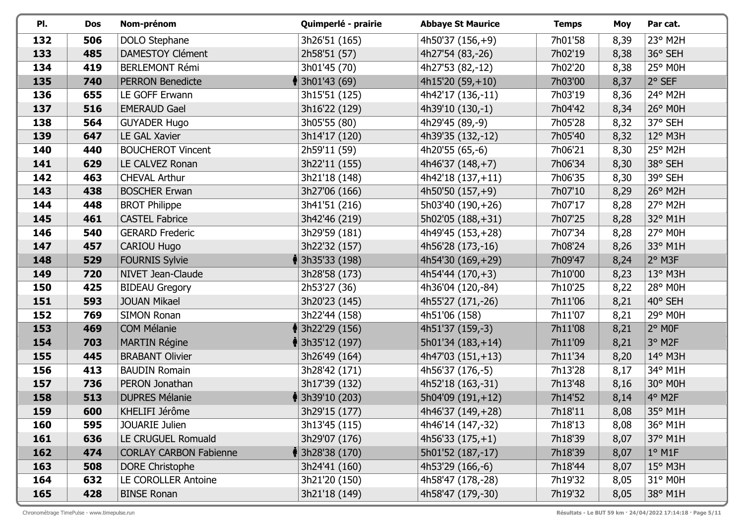| PI. | <b>Dos</b> | Nom-prénom                    | Quimperlé - prairie         | <b>Abbaye St Maurice</b> | <b>Temps</b> | <b>Moy</b> | Par cat.         |
|-----|------------|-------------------------------|-----------------------------|--------------------------|--------------|------------|------------------|
| 132 | 506        | DOLO Stephane                 | 3h26'51 (165)               | 4h50'37 (156,+9)         | 7h01'58      | 8,39       | 23° M2H          |
| 133 | 485        | <b>DAMESTOY Clément</b>       | 2h58'51 (57)                | 4h27'54 (83,-26)         | 7h02'19      | 8,38       | 36° SEH          |
| 134 | 419        | <b>BERLEMONT Rémi</b>         | 3h01'45 (70)                | 4h27'53 (82,-12)         | 7h02'20      | 8,38       | 25° M0H          |
| 135 | 740        | <b>PERRON Benedicte</b>       | $\parallel$ 3h01'43 (69)    | $4h15'20(59,+10)$        | 7h03'00      | 8,37       | 2° SEF           |
| 136 | 655        | LE GOFF Erwann                | 3h15'51 (125)               | 4h42'17 (136,-11)        | 7h03'19      | 8,36       | 24° M2H          |
| 137 | 516        | <b>EMERAUD Gael</b>           | 3h16'22 (129)               | 4h39'10 (130,-1)         | 7h04'42      | 8,34       | 26° M0H          |
| 138 | 564        | <b>GUYADER Hugo</b>           | 3h05'55 (80)                | 4h29'45 (89,-9)          | 7h05'28      | 8,32       | 37° SEH          |
| 139 | 647        | LE GAL Xavier                 | 3h14'17 (120)               | 4h39'35 (132,-12)        | 7h05'40      | 8,32       | 12° M3H          |
| 140 | 440        | <b>BOUCHEROT Vincent</b>      | 2h59'11 (59)                | 4h20'55 (65,-6)          | 7h06'21      | 8,30       | 25° M2H          |
| 141 | 629        | LE CALVEZ Ronan               | 3h22'11 (155)               | $4h46'37(148,+7)$        | 7h06'34      | 8,30       | 38° SEH          |
| 142 | 463        | <b>CHEVAL Arthur</b>          | 3h21'18 (148)               | 4h42'18 (137, +11)       | 7h06'35      | 8,30       | 39° SEH          |
| 143 | 438        | <b>BOSCHER Erwan</b>          | 3h27'06 (166)               | 4h50'50 (157, +9)        | 7h07'10      | 8,29       | 26° M2H          |
| 144 | 448        | <b>BROT Philippe</b>          | 3h41'51 (216)               | 5h03'40 (190, +26)       | 7h07'17      | 8,28       | 27° M2H          |
| 145 | 461        | <b>CASTEL Fabrice</b>         | 3h42'46 (219)               | 5h02'05 (188, +31)       | 7h07'25      | 8,28       | 32° M1H          |
| 146 | 540        | <b>GERARD Frederic</b>        | 3h29'59 (181)               | 4h49'45 (153, +28)       | 7h07'34      | 8,28       | 27° M0H          |
| 147 | 457        | <b>CARIOU Hugo</b>            | 3h22'32 (157)               | 4h56'28 (173,-16)        | 7h08'24      | 8,26       | 33° M1H          |
| 148 | 529        | <b>FOURNIS Sylvie</b>         | $\parallel$ 3h35'33 (198)   | 4h54'30 (169, +29)       | 7h09'47      | 8,24       | $2°$ M3F         |
| 149 | 720        | NIVET Jean-Claude             | 3h28'58 (173)               | $4h54'44(170,+3)$        | 7h10'00      | 8,23       | 13° M3H          |
| 150 | 425        | <b>BIDEAU Gregory</b>         | 2h53'27 (36)                | 4h36'04 (120,-84)        | 7h10'25      | 8,22       | 28° M0H          |
| 151 | 593        | <b>JOUAN Mikael</b>           | 3h20'23 (145)               | 4h55'27 (171,-26)        | 7h11'06      | 8,21       | 40° SEH          |
| 152 | 769        | <b>SIMON Ronan</b>            | 3h22'44 (158)               | 4h51'06 (158)            | 7h11'07      | 8,21       | 29° M0H          |
| 153 | 469        | <b>COM Mélanie</b>            | 156) 3h22'29 (156)          | 4h51'37 (159,-3)         | 7h11'08      | 8,21       | $2°$ MOF         |
| 154 | 703        | <b>MARTIN Régine</b>          | <b>ॏ</b> 3h35'12 (197)      | 5h01'34 (183,+14)        | 7h11'09      | 8,21       | 3° M2F           |
| 155 | 445        | <b>BRABANT Olivier</b>        | 3h26'49 (164)               | $4h47'03(151,+13)$       | 7h11'34      | 8,20       | 14° M3H          |
| 156 | 413        | <b>BAUDIN Romain</b>          | 3h28'42 (171)               | 4h56'37 (176,-5)         | 7h13'28      | 8,17       | 34° M1H          |
| 157 | 736        | PERON Jonathan                | 3h17'39 (132)               | 4h52'18 (163,-31)        | 7h13'48      | 8,16       | 30° M0H          |
| 158 | 513        | <b>DUPRES Mélanie</b>         | 13h39'10 (203)              | 5h04'09 (191,+12)        | 7h14'52      | 8,14       | 4° M2F           |
| 159 | 600        | KHELIFI Jérôme                | 3h29'15 (177)               | 4h46'37 (149,+28)        | 7h18'11      | 8,08       | 35° M1H          |
| 160 | 595        | <b>JOUARIE Julien</b>         | 3h13'45 (115)               | 4h46'14 (147,-32)        | 7h18'13      | 8,08       | 36° M1H          |
| 161 | 636        | LE CRUGUEL Romuald            | 3h29'07 (176)               | $4h56'33(175,+1)$        | 7h18'39      | 8,07       | 37° M1H          |
| 162 | 474        | <b>CORLAY CARBON Fabienne</b> | $\frac{1}{3}$ 3h28'38 (170) | 5h01'52 (187,-17)        | 7h18'39      | 8,07       | $1^\circ$ M1F    |
| 163 | 508        | <b>DORE Christophe</b>        | 3h24'41 (160)               | 4h53'29 (166,-6)         | 7h18'44      | 8,07       | $15^{\circ}$ M3H |
| 164 | 632        | <b>LE COROLLER Antoine</b>    | 3h21'20 (150)               | 4h58'47 (178,-28)        | 7h19'32      | 8,05       | 31° M0H          |
| 165 | 428        | <b>BINSE Ronan</b>            | 3h21'18 (149)               | 4h58'47 (179,-30)        | 7h19'32      | 8,05       | 38° M1H          |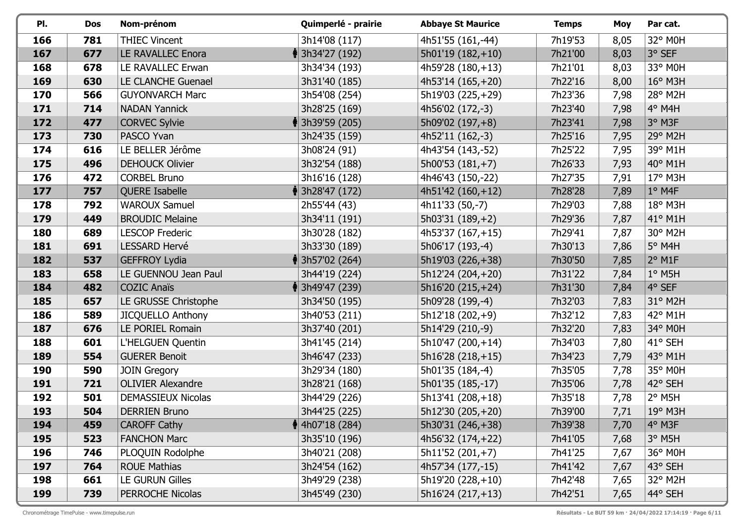| PI. | <b>Dos</b> | Nom-prénom                | Quimperlé - prairie         | <b>Abbaye St Maurice</b> | <b>Temps</b> | <b>Moy</b> | Par cat.              |
|-----|------------|---------------------------|-----------------------------|--------------------------|--------------|------------|-----------------------|
| 166 | 781        | <b>THIEC Vincent</b>      | 3h14'08 (117)               | 4h51'55 (161,-44)        | 7h19'53      | 8,05       | 32° M0H               |
| 167 | 677        | LE RAVALLEC Enora         | $\frac{1}{3}$ 3h34'27 (192) | 5h01'19 (182,+10)        | 7h21'00      | 8,03       | 3° SEF                |
| 168 | 678        | LE RAVALLEC Erwan         | 3h34'34 (193)               | 4h59'28 (180, +13)       | 7h21'01      | 8,03       | 33° M0H               |
| 169 | 630        | LE CLANCHE Guenael        | 3h31'40 (185)               | 4h53'14 (165, +20)       | 7h22'16      | 8,00       | $16^{\circ}$ M3H      |
| 170 | 566        | <b>GUYONVARCH Marc</b>    | 3h54'08 (254)               | 5h19'03 (225,+29)        | 7h23'36      | 7,98       | 28° M2H               |
| 171 | 714        | <b>NADAN Yannick</b>      | 3h28'25 (169)               | 4h56'02 (172,-3)         | 7h23'40      | 7,98       | 4° M4H                |
| 172 | 477        | <b>CORVEC Sylvie</b>      | <b>ॏ</b> 3h39'59 (205)      | 5h09'02 (197, +8)        | 7h23'41      | 7,98       | 3° M3F                |
| 173 | 730        | PASCO Yvan                | 3h24'35 (159)               | 4h52'11 (162,-3)         | 7h25'16      | 7,95       | 29° M2H               |
| 174 | 616        | LE BELLER Jérôme          | 3h08'24 (91)                | 4h43'54 (143,-52)        | 7h25'22      | 7,95       | 39° M1H               |
| 175 | 496        | <b>DEHOUCK Olivier</b>    | 3h32'54 (188)               | $5h00'53(181,+7)$        | 7h26'33      | 7,93       | $140^{\circ}$ M1H     |
| 176 | 472        | <b>CORBEL Bruno</b>       | 3h16'16 (128)               | 4h46'43 (150,-22)        | 7h27'35      | 7,91       | 17° M3H               |
| 177 | 757        | QUERE Isabelle            | $\frac{1}{3}$ 3h28'47 (172) | $4h51'42(160,+12)$       | 7h28'28      | 7,89       | $1°$ M4F              |
| 178 | 792        | <b>WAROUX Samuel</b>      | 2h55'44 (43)                | 4h11'33 (50,-7)          | 7h29'03      | 7,88       | 18° M3H               |
| 179 | 449        | <b>BROUDIC Melaine</b>    | 3h34'11 (191)               | $5h03'31(189,+2)$        | 7h29'36      | 7,87       | $41^\circ$ M1H        |
| 180 | 689        | <b>LESCOP Frederic</b>    | 3h30'28 (182)               | 4h53'37 (167, +15)       | 7h29'41      | 7,87       | 30° M2H               |
| 181 | 691        | LESSARD Hervé             | 3h33'30 (189)               | 5h06'17 (193,-4)         | 7h30'13      | 7,86       | 5° M4H                |
| 182 | 537        | <b>GEFFROY Lydia</b>      | $\parallel$ 3h57'02 (264)   | 5h19'03 (226,+38)        | 7h30'50      | 7,85       | $2°$ M1F              |
| 183 | 658        | LE GUENNOU Jean Paul      | 3h44'19 (224)               | 5h12'24 (204,+20)        | 7h31'22      | 7,84       | $1°$ M5H              |
| 184 | 482        | <b>COZIC Anaïs</b>        | $\frac{1}{3}$ 3h49'47 (239) | 5h16'20 (215, +24)       | 7h31'30      | 7,84       | $ 4^{\circ}$ SEF      |
| 185 | 657        | LE GRUSSE Christophe      | 3h34'50 (195)               | 5h09'28 (199,-4)         | 7h32'03      | 7,83       | 31° M2H               |
| 186 | 589        | <b>JICQUELLO Anthony</b>  | 3h40'53 (211)               | 5h12'18 (202,+9)         | 7h32'12      | 7,83       | 42° M1H               |
| 187 | 676        | LE PORIEL Romain          | 3h37'40 (201)               | 5h14'29 (210,-9)         | 7h32'20      | 7,83       | 34° M0H               |
| 188 | 601        | L'HELGUEN Quentin         | 3h41'45 (214)               | 5h10'47 (200,+14)        | 7h34'03      | 7,80       | 41° SEH               |
| 189 | 554        | <b>GUERER Benoit</b>      | 3h46'47 (233)               | 5h16'28 (218, +15)       | 7h34'23      | 7,79       | 43° M1H               |
| 190 | 590        | JOIN Gregory              | 3h29'34 (180)               | 5h01'35 (184,-4)         | 7h35'05      | 7,78       | 35° M0H               |
| 191 | 721        | <b>OLIVIER Alexandre</b>  | 3h28'21 (168)               | 5h01'35 (185,-17)        | 7h35'06      | 7,78       | $42^{\circ}$ SEH      |
| 192 | 501        | <b>DEMASSIEUX Nicolas</b> | 3h44'29 (226)               | 5h13'41 (208, +18)       | 7h35'18      | 7,78       | $2°$ M <sub>5</sub> H |
| 193 | 504        | <b>DERRIEN Bruno</b>      | 3h44'25 (225)               | 5h12'30 (205, +20)       | 7h39'00      | 7,71       | 19° M3H               |
| 194 | 459        | <b>CAROFF Cathy</b>       | $\frac{1}{3}$ 4h07'18 (284) | 5h30'31 (246, +38)       | 7h39'38      | 7,70       | 4° M3F                |
| 195 | 523        | <b>FANCHON Marc</b>       | 3h35'10 (196)               | 4h56'32 $(174, +22)$     | 7h41'05      | 7,68       | $3^\circ$ M5H         |
| 196 | 746        | PLOQUIN Rodolphe          | 3h40'21 (208)               | $5h11'52(201,+7)$        | 7h41'25      | 7,67       | 36° M0H               |
| 197 | 764        | <b>ROUE Mathias</b>       | 3h24'54 (162)               | 4h57'34 (177,-15)        | 7h41'42      | 7,67       | 43° SEH               |
| 198 | 661        | <b>LE GURUN Gilles</b>    | 3h49'29 (238)               | 5h19'20 (228, +10)       | 7h42'48      | 7,65       | 32° M2H               |
| 199 | 739        | PERROCHE Nicolas          | 3h45'49 (230)               | 5h16'24 (217, +13)       | 7h42'51      | 7,65       | 44° SEH               |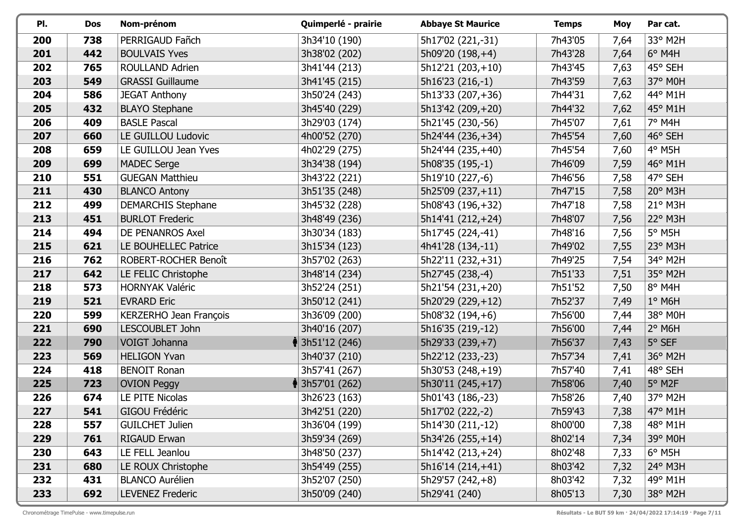| PI. | <b>Dos</b> | Nom-prénom                | Quimperlé - prairie         | <b>Abbaye St Maurice</b> | <b>Temps</b> | <b>Moy</b> | Par cat.         |
|-----|------------|---------------------------|-----------------------------|--------------------------|--------------|------------|------------------|
| 200 | 738        | PERRIGAUD Fañch           | 3h34'10 (190)               | 5h17'02 (221,-31)        | 7h43'05      | 7,64       | 33° M2H          |
| 201 | 442        | <b>BOULVAIS Yves</b>      | 3h38'02 (202)               | 5h09'20 (198,+4)         | 7h43'28      | 7,64       | $6°$ M4H         |
| 202 | 765        | <b>ROULLAND Adrien</b>    | 3h41'44 (213)               | $5h12'21(203,+10)$       | 7h43'45      | 7,63       | 45° SEH          |
| 203 | 549        | <b>GRASSI Guillaume</b>   | 3h41'45 (215)               | 5h16'23 (216,-1)         | 7h43'59      | 7,63       | 37° M0H          |
| 204 | 586        | <b>JEGAT Anthony</b>      | 3h50'24 (243)               | 5h13'33 (207,+36)        | 7h44'31      | 7,62       | 44° M1H          |
| 205 | 432        | <b>BLAYO Stephane</b>     | 3h45'40 (229)               | 5h13'42 (209, +20)       | 7h44'32      | 7,62       | 45° M1H          |
| 206 | 409        | <b>BASLE Pascal</b>       | 3h29'03 (174)               | 5h21'45 (230,-56)        | 7h45'07      | 7,61       | 7° M4H           |
| 207 | 660        | LE GUILLOU Ludovic        | 4h00'52 (270)               | 5h24'44 (236,+34)        | 7h45'54      | 7,60       | 46° SEH          |
| 208 | 659        | LE GUILLOU Jean Yves      | 4h02'29 (275)               | 5h24'44 (235,+40)        | 7h45'54      | 7,60       | 4° M5H           |
| 209 | 699        | <b>MADEC Serge</b>        | 3h34'38 (194)               | 5h08'35 (195,-1)         | 7h46'09      | 7,59       | 46° M1H          |
| 210 | 551        | <b>GUEGAN Matthieu</b>    | 3h43'22 (221)               | 5h19'10 (227,-6)         | 7h46'56      | 7,58       | 47° SEH          |
| 211 | 430        | <b>BLANCO Antony</b>      | 3h51'35 (248)               | 5h25'09 (237,+11)        | 7h47'15      | 7,58       | 20° M3H          |
| 212 | 499        | <b>DEMARCHIS Stephane</b> | 3h45'32 (228)               | 5h08'43 (196,+32)        | 7h47'18      | 7,58       | $21°$ M3H        |
| 213 | 451        | <b>BURLOT Frederic</b>    | 3h48'49 (236)               | 5h14'41 (212, +24)       | 7h48'07      | 7,56       | $22^{\circ}$ M3H |
| 214 | 494        | DE PENANROS Axel          | 3h30'34 (183)               | 5h17'45 (224,-41)        | 7h48'16      | 7,56       | $5^\circ$ M5H    |
| 215 | 621        | LE BOUHELLEC Patrice      | 3h15'34 (123)               | 4h41'28 (134,-11)        | 7h49'02      | 7,55       | 23° M3H          |
| 216 | 762        | ROBERT-ROCHER Benoît      | 3h57'02 (263)               | 5h22'11 (232,+31)        | 7h49'25      | 7,54       | 34° M2H          |
| 217 | 642        | LE FELIC Christophe       | 3h48'14 (234)               | 5h27'45 (238,-4)         | 7h51'33      | 7,51       | 35° M2H          |
| 218 | 573        | <b>HORNYAK Valéric</b>    | 3h52'24 (251)               | 5h21'54 (231, +20)       | 7h51'52      | 7,50       | 8° M4H           |
| 219 | 521        | <b>EVRARD Eric</b>        | 3h50'12 (241)               | 5h20'29 (229,+12)        | 7h52'37      | 7,49       | $1^\circ$ M6H    |
| 220 | 599        | KERZERHO Jean François    | 3h36'09 (200)               | 5h08'32 (194,+6)         | 7h56'00      | 7,44       | 38° M0H          |
| 221 | 690        | LESCOUBLET John           | 3h40'16 (207)               | 5h16'35 (219,-12)        | 7h56'00      | 7,44       | $2°$ M6H         |
| 222 | 790        | VOIGT Johanna             | $\frac{1}{3}$ 3h51'12 (246) | 5h29'33 (239, +7)        | 7h56'37      | 7,43       | 5° SEF           |
| 223 | 569        | <b>HELIGON Yvan</b>       | 3h40'37 (210)               | 5h22'12 (233,-23)        | 7h57'34      | 7,41       | 36° M2H          |
| 224 | 418        | <b>BENOIT Ronan</b>       | 3h57'41 (267)               | 5h30'53 (248,+19)        | 7h57'40      | 7,41       | 48° SEH          |
| 225 | 723        | <b>OVION Peggy</b>        | $\frac{1}{3}$ 3h57'01 (262) | 5h30'11 (245,+17)        | 7h58'06      | 7,40       | $5^\circ$ M2F    |
| 226 | 674        | LE PITE Nicolas           | 3h26'23 (163)               | 5h01'43 (186,-23)        | 7h58'26      | 7,40       | 37° M2H          |
| 227 | 541        | GIGOU Frédéric            | 3h42'51 (220)               | 5h17'02 (222,-2)         | 7h59'43      | 7,38       | 47° M1H          |
| 228 | 557        | <b>GUILCHET Julien</b>    | 3h36'04 (199)               | 5h14'30 (211,-12)        | 8h00'00      | 7,38       | 48° M1H          |
| 229 | 761        | <b>RIGAUD Erwan</b>       | 3h59'34 (269)               | 5h34'26 (255, +14)       | 8h02'14      | 7,34       | 39° M0H          |
| 230 | 643        | LE FELL Jeanlou           | 3h48'50 (237)               | 5h14'42 (213, +24)       | 8h02'48      | 7,33       | $6^{\circ}$ M5H  |
| 231 | 680        | LE ROUX Christophe        | 3h54'49 (255)               | 5h16'14 (214,+41)        | 8h03'42      | 7,32       | 24° M3H          |
| 232 | 431        | <b>BLANCO Aurélien</b>    | 3h52'07 (250)               | 5h29'57 (242, +8)        | 8h03'42      | 7,32       | 49° M1H          |
| 233 | 692        | <b>LEVENEZ Frederic</b>   | 3h50'09 (240)               | 5h29'41 (240)            | 8h05'13      | 7,30       | 38° M2H          |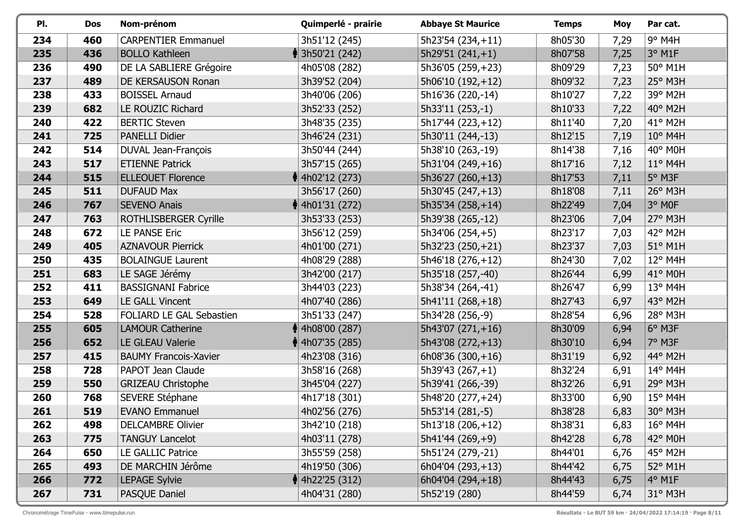| PI. | <b>Dos</b> | Nom-prénom                   | Quimperlé - prairie         | <b>Abbaye St Maurice</b> | <b>Temps</b> | <b>Moy</b> | Par cat.         |
|-----|------------|------------------------------|-----------------------------|--------------------------|--------------|------------|------------------|
| 234 | 460        | <b>CARPENTIER Emmanuel</b>   | 3h51'12 (245)               | 5h23'54 (234,+11)        | 8h05'30      | 7,29       | 9° M4H           |
| 235 | 436        | <b>BOLLO Kathleen</b>        | <b>ॏ</b> 3h50'21 (242)      | $5h29'51(241,+1)$        | 8h07'58      | 7,25       | $3°$ M1F         |
| 236 | 490        | DE LA SABLIERE Grégoire      | 4h05'08 (282)               | 5h36'05 (259, +23)       | 8h09'29      | 7,23       | 50° M1H          |
| 237 | 489        | DE KERSAUSON Ronan           | 3h39'52 (204)               | 5h06'10 (192,+12)        | 8h09'32      | 7,23       | 25° M3H          |
| 238 | 433        | <b>BOISSEL Arnaud</b>        | 3h40'06 (206)               | 5h16'36 (220,-14)        | 8h10'27      | 7,22       | 39° M2H          |
| 239 | 682        | LE ROUZIC Richard            | 3h52'33 (252)               | 5h33'11 (253,-1)         | 8h10'33      | 7,22       | 40° M2H          |
| 240 | 422        | <b>BERTIC Steven</b>         | 3h48'35 (235)               | 5h17'44 (223,+12)        | 8h11'40      | 7,20       | 41° M2H          |
| 241 | 725        | <b>PANELLI Didier</b>        | 3h46'24 (231)               | 5h30'11 (244,-13)        | 8h12'15      | 7,19       | $10^{\circ}$ M4H |
| 242 | 514        | DUVAL Jean-François          | 3h50'44 (244)               | 5h38'10 (263,-19)        | 8h14'38      | 7,16       | 40° M0H          |
| 243 | 517        | <b>ETIENNE Patrick</b>       | 3h57'15 (265)               | 5h31'04 (249, +16)       | 8h17'16      | 7,12       | $11^{\circ}$ M4H |
| 244 | 515        | <b>ELLEOUET Florence</b>     | $\big\{$ 4h02'12 (273)      | $5h36'27(260,+13)$       | 8h17'53      | 7,11       | $5^\circ$ M3F    |
| 245 | 511        | <b>DUFAUD Max</b>            | 3h56'17 (260)               | 5h30'45 (247, +13)       | 8h18'08      | 7,11       | 26° M3H          |
| 246 | 767        | <b>SEVENO Anais</b>          | $\frac{1}{3}$ 4h01'31 (272) | 5h35'34 (258, +14)       | 8h22'49      | 7,04       | 3° MOF           |
| 247 | 763        | ROTHLISBERGER Cyrille        | 3h53'33 (253)               | 5h39'38 (265,-12)        | 8h23'06      | 7,04       | 27° M3H          |
| 248 | 672        | LE PANSE Eric                | 3h56'12 (259)               | $5h34'06(254,+5)$        | 8h23'17      | 7,03       | 42° M2H          |
| 249 | 405        | <b>AZNAVOUR Pierrick</b>     | 4h01'00 (271)               | 5h32'23 (250, +21)       | 8h23'37      | 7,03       | 51° M1H          |
| 250 | 435        | <b>BOLAINGUE Laurent</b>     | 4h08'29 (288)               | 5h46'18 (276,+12)        | 8h24'30      | 7,02       | $12^{\circ}$ M4H |
| 251 | 683        | LE SAGE Jérémy               | 3h42'00 (217)               | 5h35'18 (257,-40)        | 8h26'44      | 6,99       | 41° M0H          |
| 252 | 411        | <b>BASSIGNANI Fabrice</b>    | 3h44'03 (223)               | 5h38'34 (264,-41)        | 8h26'47      | 6,99       | $13^{\circ}$ M4H |
| 253 | 649        | <b>LE GALL Vincent</b>       | 4h07'40 (286)               | 5h41'11 (268, +18)       | 8h27'43      | 6,97       | 43° M2H          |
| 254 | 528        | FOLIARD LE GAL Sebastien     | 3h51'33 (247)               | 5h34'28 (256,-9)         | 8h28'54      | 6,96       | 28° M3H          |
| 255 | 605        | <b>LAMOUR Catherine</b>      | $\parallel$ 4h08'00 (287)   | 5h43'07 (271,+16)        | 8h30'09      | 6,94       | 6° M3F           |
| 256 | 652        | LE GLEAU Valerie             | $\frac{1}{3}$ 4h07'35 (285) | 5h43'08 (272, +13)       | 8h30'10      | 6,94       | 7° M3F           |
| 257 | 415        | <b>BAUMY Francois-Xavier</b> | 4h23'08 (316)               | $6h08'36(300,+16)$       | 8h31'19      | 6,92       | 44° M2H          |
| 258 | 728        | PAPOT Jean Claude            | 3h58'16 (268)               | $5h39'43(267,+1)$        | 8h32'24      | 6,91       | 14° M4H          |
| 259 | 550        | <b>GRIZEAU Christophe</b>    | 3h45'04 (227)               | 5h39'41 (266,-39)        | 8h32'26      | 6,91       | 29° M3H          |
| 260 | 768        | SEVERE Stéphane              | 4h17'18 (301)               | 5h48'20 (277, +24)       | 8h33'00      | 6,90       | $15^{\circ}$ M4H |
| 261 | 519        | <b>EVANO Emmanuel</b>        | 4h02'56 (276)               | 5h53'14 (281,-5)         | 8h38'28      | 6,83       | 30° M3H          |
| 262 | 498        | <b>DELCAMBRE Olivier</b>     | 3h42'10 (218)               | 5h13'18 (206,+12)        | 8h38'31      | 6,83       | $16^{\circ}$ M4H |
| 263 | 775        | <b>TANGUY Lancelot</b>       | 4h03'11 (278)               | 5h41'44 (269, +9)        | 8h42'28      | 6,78       | $42^{\circ}$ MOH |
| 264 | 650        | <b>LE GALLIC Patrice</b>     | 3h55'59 (258)               | 5h51'24 (279,-21)        | 8h44'01      | 6,76       | 45° M2H          |
| 265 | 493        | DE MARCHIN Jérôme            | 4h19'50 (306)               | 6h04'04 (293, +13)       | 8h44'42      | 6,75       | 52° M1H          |
| 266 | 772        | <b>LEPAGE Sylvie</b>         | $\frac{1}{3}$ 4h22'25 (312) | $6h04'04(294,+18)$       | 8h44'43      | 6,75       | $4^{\circ}$ M1F  |
| 267 | 731        | <b>PASQUE Daniel</b>         | 4h04'31 (280)               | 5h52'19 (280)            | 8h44'59      | 6,74       | $31^\circ$ M3H   |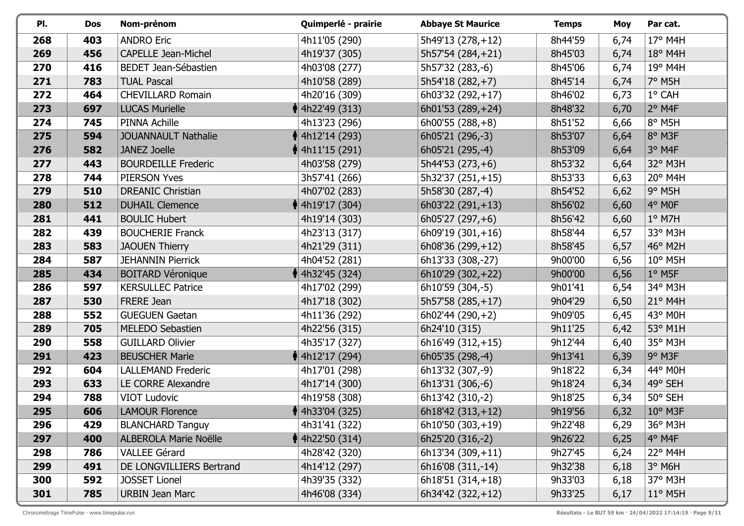| PI. | Dos | Nom-prénom                   | Quimperlé - prairie         | <b>Abbaye St Maurice</b> | <b>Temps</b> | Moy  | Par cat.         |
|-----|-----|------------------------------|-----------------------------|--------------------------|--------------|------|------------------|
| 268 | 403 | <b>ANDRO Eric</b>            | 4h11'05 (290)               | 5h49'13 (278, +12)       | 8h44'59      | 6,74 | 17° M4H          |
| 269 | 456 | <b>CAPELLE Jean-Michel</b>   | 4h19'37 (305)               | 5h57'54 (284, +21)       | 8h45'03      | 6,74 | 18° M4H          |
| 270 | 416 | BEDET Jean-Sébastien         | 4h03'08 (277)               | 5h57'32 (283,-6)         | 8h45'06      | 6,74 | 19° M4H          |
| 271 | 783 | <b>TUAL Pascal</b>           | 4h10'58 (289)               | 5h54'18 (282, +7)        | 8h45'14      | 6,74 | 7° M5H           |
| 272 | 464 | <b>CHEVILLARD Romain</b>     | 4h20'16 (309)               | 6h03'32 (292,+17)        | 8h46'02      | 6,73 | 1° CAH           |
| 273 | 697 | <b>LUCAS Murielle</b>        | $\parallel$ 4h22'49 (313)   | 6h01'53 (289, +24)       | 8h48'32      | 6,70 | $2^{\circ}$ M4F  |
| 274 | 745 | PINNA Achille                | 4h13'23 (296)               | $6h00'55(288,+8)$        | 8h51'52      | 6,66 | 8° M5H           |
| 275 | 594 | <b>JOUANNAULT Nathalie</b>   | <b>♦ 4h12'14 (293)</b>      | 6h05'21 (296,-3)         | 8h53'07      | 6,64 | 8° M3F           |
| 276 | 582 | <b>JANEZ Joelle</b>          | $\parallel$ 4h11'15 (291)   | 6h05'21 (295,-4)         | 8h53'09      | 6,64 | 3° M4F           |
| 277 | 443 | <b>BOURDEILLE Frederic</b>   | 4h03'58 (279)               | $5h44'53(273,+6)$        | 8h53'32      | 6,64 | 32° M3H          |
| 278 | 744 | <b>PIERSON Yves</b>          | 3h57'41 (266)               | 5h32'37 (251, +15)       | 8h53'33      | 6,63 | 20° M4H          |
| 279 | 510 | <b>DREANIC Christian</b>     | 4h07'02 (283)               | 5h58'30 (287,-4)         | 8h54'52      | 6,62 | $9°$ M5H         |
| 280 | 512 | <b>DUHAIL Clemence</b>       | $\frac{1}{3}$ 4h19'17 (304) | $6h03'22(291,+13)$       | 8h56'02      | 6,60 | $ 4^{\circ}$ MOF |
| 281 | 441 | <b>BOULIC Hubert</b>         | 4h19'14 (303)               | $6h05'27(297,+6)$        | 8h56'42      | 6,60 | $1°$ M7H         |
| 282 | 439 | <b>BOUCHERIE Franck</b>      | 4h23'13 (317)               | $6h09'19(301,+16)$       | 8h58'44      | 6,57 | 33° M3H          |
| 283 | 583 | <b>JAOUEN Thierry</b>        | 4h21'29 (311)               | 6h08'36 (299, +12)       | 8h58'45      | 6,57 | 46° M2H          |
| 284 | 587 | <b>JEHANNIN Pierrick</b>     | 4h04'52 (281)               | 6h13'33 (308,-27)        | 9h00'00      | 6,56 | $10^{\circ}$ M5H |
| 285 | 434 | <b>BOITARD Véronique</b>     | $\parallel$ 4h32'45 (324)   | 6h10'29 (302, +22)       | 9h00'00      | 6,56 | $1^\circ$ M5F    |
| 286 | 597 | <b>KERSULLEC Patrice</b>     | 4h17'02 (299)               | 6h10'59 (304,-5)         | 9h01'41      | 6,54 | 34° M3H          |
| 287 | 530 | FRERE Jean                   | 4h17'18 (302)               | 5h57'58 (285, +17)       | 9h04'29      | 6,50 | $21^{\circ}$ M4H |
| 288 | 552 | <b>GUEGUEN Gaetan</b>        | 4h11'36 (292)               | $6h02'44(290,+2)$        | 9h09'05      | 6,45 | 43° M0H          |
| 289 | 705 | <b>MELEDO Sebastien</b>      | 4h22'56 (315)               | 6h24'10 (315)            | 9h11'25      | 6,42 | 53° M1H          |
| 290 | 558 | <b>GUILLARD Olivier</b>      | 4h35'17 (327)               | 6h16'49 (312, +15)       | 9h12'44      | 6,40 | 35° M3H          |
| 291 | 423 | <b>BEUSCHER Marie</b>        | <b>M</b> 4h12'17 (294)      | 6h05'35 (298,-4)         | 9h13'41      | 6,39 | $9°$ M3F         |
| 292 | 604 | <b>LALLEMAND Frederic</b>    | 4h17'01 (298)               | 6h13'32 (307,-9)         | 9h18'22      | 6,34 | 44° M0H          |
| 293 | 633 | LE CORRE Alexandre           | 4h17'14 (300)               | 6h13'31 (306,-6)         | 9h18'24      | 6,34 | 49° SEH          |
| 294 | 788 | <b>VIOT Ludovic</b>          | 4h19'58 (308)               | 6h13'42 (310,-2)         | 9h18'25      | 6,34 | 50° SEH          |
| 295 | 606 | <b>LAMOUR Florence</b>       | $\parallel$ 4h33'04 (325)   | $6h18'42(313,+12)$       | 9h19'56      | 6,32 | 10° M3F          |
| 296 | 429 | <b>BLANCHARD Tanguy</b>      | 4h31'41 (322)               | 6h10'50 (303,+19)        | 9h22'48      | 6,29 | $36^\circ$ M3H   |
| 297 | 400 | <b>ALBEROLA Marie Noëlle</b> | $\parallel$ 4h22'50 (314)   | 6h25'20 (316,-2)         | 9h26'22      | 6,25 | 4° M4F           |
| 298 | 786 | <b>VALLEE Gérard</b>         | 4h28'42 (320)               | $6h13'34(309,+11)$       | 9h27'45      | 6,24 | 22° M4H          |
| 299 | 491 | DE LONGVILLIERS Bertrand     | 4h14'12 (297)               | 6h16'08 (311,-14)        | 9h32'38      | 6,18 | $3°$ M6H         |
| 300 | 592 | <b>JOSSET Lionel</b>         | 4h39'35 (332)               | $6h18'51(314,+18)$       | 9h33'03      | 6,18 | 37° M3H          |
| 301 | 785 | <b>URBIN Jean Marc</b>       | 4h46'08 (334)               | 6h34'42 (322, +12)       | 9h33'25      | 6,17 | $11^{\circ}$ M5H |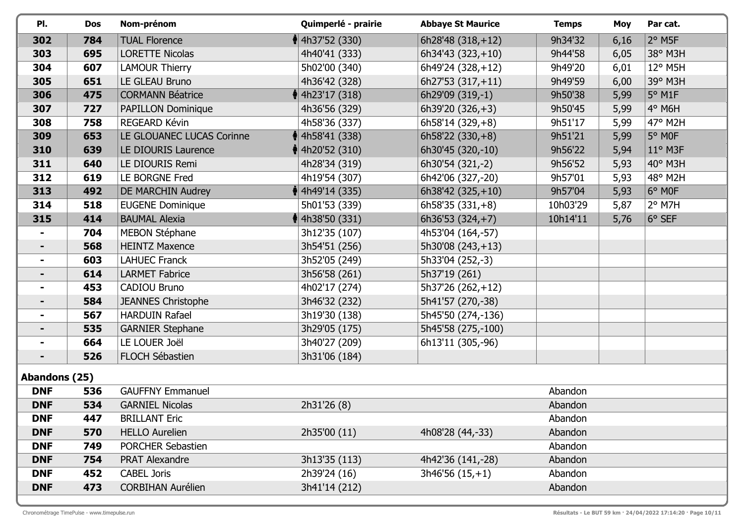| PI.           | <b>Dos</b> | Nom-prénom                | Quimperlé - prairie         | <b>Abbaye St Maurice</b> | <b>Temps</b> | <b>Moy</b> | Par cat.             |
|---------------|------------|---------------------------|-----------------------------|--------------------------|--------------|------------|----------------------|
| 302           | 784        | <b>TUAL Florence</b>      | $\parallel$ 4h37'52 (330)   | $6h28'48(318,+12)$       | 9h34'32      | 6,16       | $2°$ M <sub>5F</sub> |
| 303           | 695        | <b>LORETTE Nicolas</b>    | 4h40'41 (333)               | $6h34'43(323,+10)$       | 9h44'58      | 6,05       | 38° M3H              |
| 304           | 607        | <b>LAMOUR Thierry</b>     | 5h02'00 (340)               | 6h49'24 (328, +12)       | 9h49'20      | 6,01       | 12° M5H              |
| 305           | 651        | LE GLEAU Bruno            | 4h36'42 (328)               | 6h27'53 (317, +11)       | 9h49'59      | 6,00       | 39° M3H              |
| 306           | 475        | <b>CORMANN Béatrice</b>   | $\frac{1}{3}$ 4h23'17 (318) | 6h29'09 (319,-1)         | 9h50'38      | 5,99       | $5^\circ$ M1F        |
| 307           | 727        | PAPILLON Dominique        | 4h36'56 (329)               | 6h39'20 $(326, +3)$      | 9h50'45      | 5,99       | 4° M6H               |
| 308           | 758        | REGEARD Kévin             | 4h58'36 (337)               | 6h58'14 (329, +8)        | 9h51'17      | 5,99       | 47° M2H              |
| 309           | 653        | LE GLOUANEC LUCAS Corinne | $\frac{1}{3}$ 4h58'41 (338) | $6h58'22(330,+8)$        | 9h51'21      | 5,99       | 5° MOF               |
| 310           | 639        | LE DIOURIS Laurence       | † 4h20'52 (310)             | 6h30'45 (320,-10)        | 9h56'22      | 5,94       | $11^{\circ}$ M3F     |
| 311           | 640        | LE DIOURIS Remi           | 4h28'34 (319)               | 6h30'54 (321,-2)         | 9h56'52      | 5,93       | 40° M3H              |
| 312           | 619        | LE BORGNE Fred            | 4h19'54 (307)               | 6h42'06 (327,-20)        | 9h57'01      | 5,93       | 48° M2H              |
| 313           | 492        | DE MARCHIN Audrey         | $\parallel$ 4h49'14 (335)   | 6h38'42 $(325,+10)$      | 9h57'04      | 5,93       | $6^{\circ}$ MOF      |
| 314           | 518        | <b>EUGENE Dominique</b>   | 5h01'53 (339)               | $6h58'35(331,+8)$        | 10h03'29     | 5,87       | $2°$ M7H             |
| 315           | 414        | <b>BAUMAL Alexia</b>      | $\parallel$ 4h38'50 (331)   | 6h36'53 $(324,+7)$       | 10h14'11     | 5,76       | 6° SEF               |
|               | 704        | <b>MEBON Stéphane</b>     | 3h12'35 (107)               | 4h53'04 (164,-57)        |              |            |                      |
|               | 568        | <b>HEINTZ Maxence</b>     | 3h54'51 (256)               | 5h30'08 (243,+13)        |              |            |                      |
|               | 603        | <b>LAHUEC Franck</b>      | 3h52'05 (249)               | 5h33'04 (252,-3)         |              |            |                      |
|               | 614        | <b>LARMET Fabrice</b>     | 3h56'58 (261)               | 5h37'19 (261)            |              |            |                      |
|               | 453        | CADIOU Bruno              | 4h02'17 (274)               | 5h37'26 (262,+12)        |              |            |                      |
|               | 584        | <b>JEANNES Christophe</b> | 3h46'32 (232)               | 5h41'57 (270,-38)        |              |            |                      |
|               | 567        | <b>HARDUIN Rafael</b>     | 3h19'30 (138)               | 5h45'50 (274,-136)       |              |            |                      |
|               | 535        | <b>GARNIER Stephane</b>   | 3h29'05 (175)               | 5h45'58 (275,-100)       |              |            |                      |
|               | 664        | LE LOUER Joël             | 3h40'27 (209)               | 6h13'11 (305,-96)        |              |            |                      |
|               | 526        | FLOCH Sébastien           | 3h31'06 (184)               |                          |              |            |                      |
| Abandons (25) |            |                           |                             |                          |              |            |                      |
| <b>DNF</b>    | 536        | <b>GAUFFNY Emmanuel</b>   |                             |                          | Abandon      |            |                      |
| <b>DNF</b>    | 534        | <b>GARNIEL Nicolas</b>    | 2h31'26 (8)                 |                          | Abandon      |            |                      |
| <b>DNF</b>    | 447        | <b>BRILLANT Eric</b>      |                             |                          | Abandon      |            |                      |
| <b>DNF</b>    | 570        | <b>HELLO Aurelien</b>     | 2h35'00 (11)                | 4h08'28 (44,-33)         | Abandon      |            |                      |
| <b>DNF</b>    | 749        | <b>PORCHER Sebastien</b>  |                             |                          | Abandon      |            |                      |
| <b>DNF</b>    | 754        | <b>PRAT Alexandre</b>     | 3h13'35 (113)               | 4h42'36 (141,-28)        | Abandon      |            |                      |
| <b>DNF</b>    | 452        | <b>CABEL Joris</b>        | 2h39'24 (16)                | $3h46'56(15,+1)$         | Abandon      |            |                      |
| <b>DNF</b>    | 473        | <b>CORBIHAN Aurélien</b>  | 3h41'14 (212)               |                          | Abandon      |            |                      |